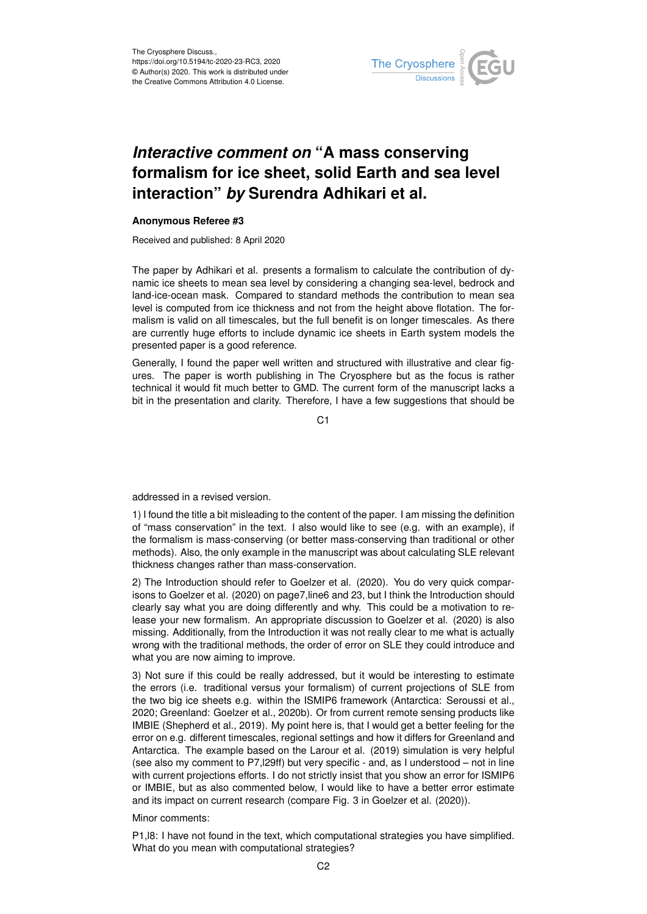

## *Interactive comment on* **"A mass conserving formalism for ice sheet, solid Earth and sea level interaction"** *by* **Surendra Adhikari et al.**

## **Anonymous Referee #3**

Received and published: 8 April 2020

The paper by Adhikari et al. presents a formalism to calculate the contribution of dynamic ice sheets to mean sea level by considering a changing sea-level, bedrock and land-ice-ocean mask. Compared to standard methods the contribution to mean sea level is computed from ice thickness and not from the height above flotation. The formalism is valid on all timescales, but the full benefit is on longer timescales. As there are currently huge efforts to include dynamic ice sheets in Earth system models the presented paper is a good reference.

Generally, I found the paper well written and structured with illustrative and clear figures. The paper is worth publishing in The Cryosphere but as the focus is rather technical it would fit much better to GMD. The current form of the manuscript lacks a bit in the presentation and clarity. Therefore, I have a few suggestions that should be

C<sub>1</sub>

addressed in a revised version.

1) I found the title a bit misleading to the content of the paper. I am missing the definition of "mass conservation" in the text. I also would like to see (e.g. with an example), if the formalism is mass-conserving (or better mass-conserving than traditional or other methods). Also, the only example in the manuscript was about calculating SLE relevant thickness changes rather than mass-conservation.

2) The Introduction should refer to Goelzer et al. (2020). You do very quick comparisons to Goelzer et al. (2020) on page7,line6 and 23, but I think the Introduction should clearly say what you are doing differently and why. This could be a motivation to release your new formalism. An appropriate discussion to Goelzer et al. (2020) is also missing. Additionally, from the Introduction it was not really clear to me what is actually wrong with the traditional methods, the order of error on SLE they could introduce and what you are now aiming to improve.

3) Not sure if this could be really addressed, but it would be interesting to estimate the errors (i.e. traditional versus your formalism) of current projections of SLE from the two big ice sheets e.g. within the ISMIP6 framework (Antarctica: Seroussi et al., 2020; Greenland: Goelzer et al., 2020b). Or from current remote sensing products like IMBIE (Shepherd et al., 2019). My point here is, that I would get a better feeling for the error on e.g. different timescales, regional settings and how it differs for Greenland and Antarctica. The example based on the Larour et al. (2019) simulation is very helpful (see also my comment to P7,l29ff) but very specific - and, as I understood – not in line with current projections efforts. I do not strictly insist that you show an error for ISMIP6 or IMBIE, but as also commented below, I would like to have a better error estimate and its impact on current research (compare Fig. 3 in Goelzer et al. (2020)).

Minor comments:

P1,l8: I have not found in the text, which computational strategies you have simplified. What do you mean with computational strategies?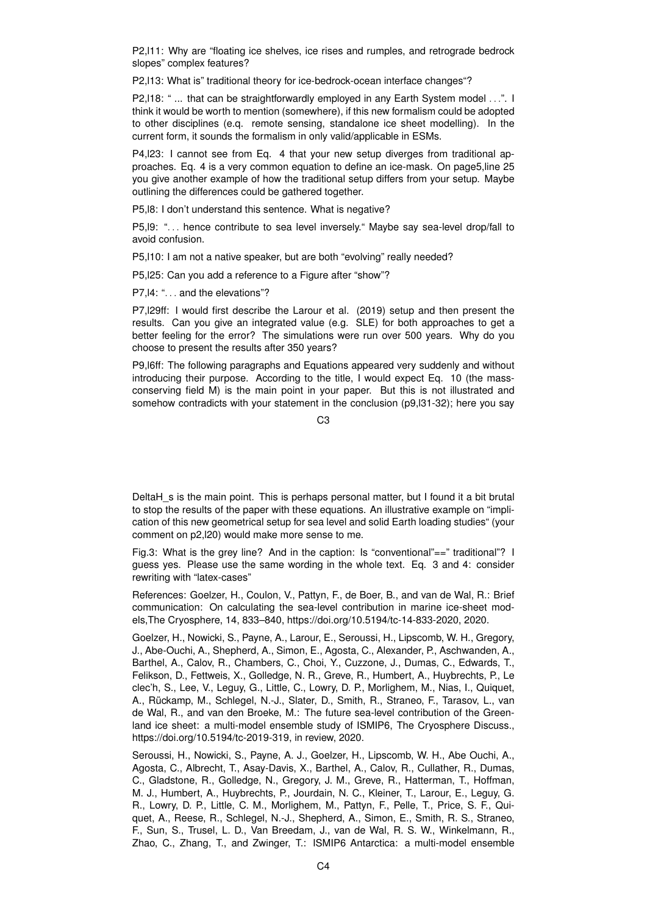P2,l11: Why are "floating ice shelves, ice rises and rumples, and retrograde bedrock slopes" complex features?

P2,l13: What is" traditional theory for ice-bedrock-ocean interface changes"?

P2, I18: " ... that can be straightforwardly employed in any Earth System model ...". I think it would be worth to mention (somewhere), if this new formalism could be adopted to other disciplines (e.q. remote sensing, standalone ice sheet modelling). In the current form, it sounds the formalism in only valid/applicable in ESMs.

P4, 23: I cannot see from Eq. 4 that your new setup diverges from traditional approaches. Eq. 4 is a very common equation to define an ice-mask. On page5,line 25 you give another example of how the traditional setup differs from your setup. Maybe outlining the differences could be gathered together.

P5,l8: I don't understand this sentence. What is negative?

P5, 19: "... hence contribute to sea level inversely." Maybe say sea-level drop/fall to avoid confusion.

P5,l10: I am not a native speaker, but are both "evolving" really needed?

P5,l25: Can you add a reference to a Figure after "show"?

P7,l4: ". . . and the elevations"?

P7,l29ff: I would first describe the Larour et al. (2019) setup and then present the results. Can you give an integrated value (e.g. SLE) for both approaches to get a better feeling for the error? The simulations were run over 500 years. Why do you choose to present the results after 350 years?

P9,l6ff: The following paragraphs and Equations appeared very suddenly and without introducing their purpose. According to the title, I would expect Eq. 10 (the massconserving field M) is the main point in your paper. But this is not illustrated and somehow contradicts with your statement in the conclusion (p9,l31-32); here you say

 $C<sub>3</sub>$ 

DeltaH s is the main point. This is perhaps personal matter, but I found it a bit brutal to stop the results of the paper with these equations. An illustrative example on "implication of this new geometrical setup for sea level and solid Earth loading studies" (your comment on p2,l20) would make more sense to me.

Fig.3: What is the grey line? And in the caption: Is "conventional"==" traditional"? I guess yes. Please use the same wording in the whole text. Eq. 3 and 4: consider rewriting with "latex-cases"

References: Goelzer, H., Coulon, V., Pattyn, F., de Boer, B., and van de Wal, R.: Brief communication: On calculating the sea-level contribution in marine ice-sheet models,The Cryosphere, 14, 833–840, https://doi.org/10.5194/tc-14-833-2020, 2020.

Goelzer, H., Nowicki, S., Payne, A., Larour, E., Seroussi, H., Lipscomb, W. H., Gregory, J., Abe-Ouchi, A., Shepherd, A., Simon, E., Agosta, C., Alexander, P., Aschwanden, A., Barthel, A., Calov, R., Chambers, C., Choi, Y., Cuzzone, J., Dumas, C., Edwards, T., Felikson, D., Fettweis, X., Golledge, N. R., Greve, R., Humbert, A., Huybrechts, P., Le clec'h, S., Lee, V., Leguy, G., Little, C., Lowry, D. P., Morlighem, M., Nias, I., Quiquet, A., Rückamp, M., Schlegel, N.-J., Slater, D., Smith, R., Straneo, F., Tarasov, L., van de Wal, R., and van den Broeke, M.: The future sea-level contribution of the Greenland ice sheet: a multi-model ensemble study of ISMIP6, The Cryosphere Discuss., https://doi.org/10.5194/tc-2019-319, in review, 2020.

Seroussi, H., Nowicki, S., Payne, A. J., Goelzer, H., Lipscomb, W. H., Abe Ouchi, A., Agosta, C., Albrecht, T., Asay-Davis, X., Barthel, A., Calov, R., Cullather, R., Dumas, C., Gladstone, R., Golledge, N., Gregory, J. M., Greve, R., Hatterman, T., Hoffman, M. J., Humbert, A., Huybrechts, P., Jourdain, N. C., Kleiner, T., Larour, E., Leguy, G. R., Lowry, D. P., Little, C. M., Morlighem, M., Pattyn, F., Pelle, T., Price, S. F., Quiquet, A., Reese, R., Schlegel, N.-J., Shepherd, A., Simon, E., Smith, R. S., Straneo, F., Sun, S., Trusel, L. D., Van Breedam, J., van de Wal, R. S. W., Winkelmann, R., Zhao, C., Zhang, T., and Zwinger, T.: ISMIP6 Antarctica: a multi-model ensemble